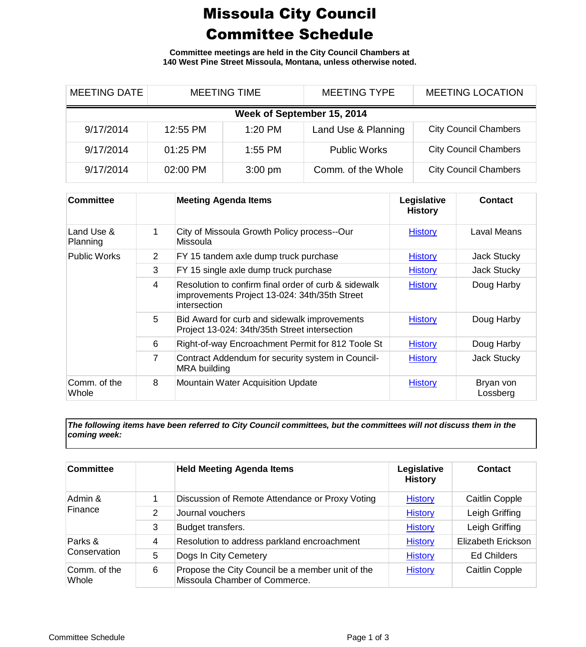## Missoula City Council Committee Schedule

**Committee meetings are held in the City Council Chambers at 140 West Pine Street Missoula, Montana, unless otherwise noted.**

| <b>MEETING DATE</b>        | <b>MEETING TIME</b> |                   | <b>MEETING TYPE</b> | <b>MEETING LOCATION</b>      |  |  |
|----------------------------|---------------------|-------------------|---------------------|------------------------------|--|--|
| Week of September 15, 2014 |                     |                   |                     |                              |  |  |
| 9/17/2014                  | 12:55 PM            | $1:20$ PM         | Land Use & Planning | <b>City Council Chambers</b> |  |  |
| 9/17/2014                  | $01:25$ PM          | $1:55$ PM         | <b>Public Works</b> | <b>City Council Chambers</b> |  |  |
| 9/17/2014                  | 02:00 PM            | $3:00 \text{ pm}$ | Comm. of the Whole  | <b>City Council Chambers</b> |  |  |

| <b>Committee</b>       |   | <b>Meeting Agenda Items</b>                                                                                           | Legislative<br><b>History</b> | <b>Contact</b>        |
|------------------------|---|-----------------------------------------------------------------------------------------------------------------------|-------------------------------|-----------------------|
| Land Use &<br>Planning | 1 | City of Missoula Growth Policy process--Our<br><b>Missoula</b>                                                        | <b>History</b>                | Laval Means           |
| <b>Public Works</b>    | 2 | FY 15 tandem axle dump truck purchase                                                                                 | <b>History</b>                | Jack Stucky           |
|                        | 3 | FY 15 single axle dump truck purchase                                                                                 | <b>History</b>                | Jack Stucky           |
|                        | 4 | Resolution to confirm final order of curb & sidewalk<br>improvements Project 13-024: 34th/35th Street<br>intersection | <b>History</b>                | Doug Harby            |
|                        | 5 | Bid Award for curb and sidewalk improvements<br>Project 13-024: 34th/35th Street intersection                         | <b>History</b>                | Doug Harby            |
|                        | 6 | Right-of-way Encroachment Permit for 812 Toole St                                                                     | <b>History</b>                | Doug Harby            |
|                        | 7 | Contract Addendum for security system in Council-<br><b>MRA</b> building                                              | <b>History</b>                | Jack Stucky           |
| Comm. of the<br>Whole  | 8 | <b>Mountain Water Acquisition Update</b>                                                                              | <b>History</b>                | Bryan von<br>Lossberg |

*The following items have been referred to City Council committees, but the committees will not discuss them in the coming week:*

| <b>Committee</b>        |   | <b>Held Meeting Agenda Items</b>                                                  | Legislative<br><b>History</b> | <b>Contact</b>            |
|-------------------------|---|-----------------------------------------------------------------------------------|-------------------------------|---------------------------|
| Admin &<br>Finance      |   | Discussion of Remote Attendance or Proxy Voting                                   | <b>History</b>                | <b>Caitlin Copple</b>     |
|                         | 2 | Journal vouchers                                                                  | <b>History</b>                | Leigh Griffing            |
|                         | 3 | Budget transfers.                                                                 | <b>History</b>                | Leigh Griffing            |
| Parks &<br>Conservation | 4 | Resolution to address parkland encroachment                                       | <b>History</b>                | <b>Elizabeth Erickson</b> |
|                         | 5 | Dogs In City Cemetery                                                             | <b>History</b>                | <b>Ed Childers</b>        |
| Comm. of the<br>Whole   | 6 | Propose the City Council be a member unit of the<br>Missoula Chamber of Commerce. | <b>History</b>                | <b>Caitlin Copple</b>     |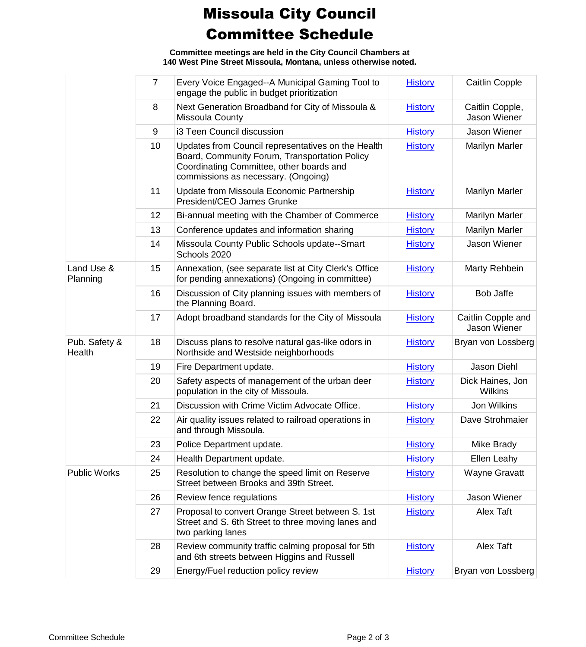## Missoula City Council Committee Schedule

**Committee meetings are held in the City Council Chambers at 140 West Pine Street Missoula, Montana, unless otherwise noted.**

|                         | $\overline{7}$ | Every Voice Engaged--A Municipal Gaming Tool to<br>engage the public in budget prioritization                                                                                          | <b>History</b> | <b>Caitlin Copple</b>              |
|-------------------------|----------------|----------------------------------------------------------------------------------------------------------------------------------------------------------------------------------------|----------------|------------------------------------|
|                         | 8              | Next Generation Broadband for City of Missoula &<br>Missoula County                                                                                                                    | <b>History</b> | Caitlin Copple,<br>Jason Wiener    |
|                         | 9              | i3 Teen Council discussion                                                                                                                                                             | <b>History</b> | Jason Wiener                       |
|                         | 10             | Updates from Council representatives on the Health<br>Board, Community Forum, Transportation Policy<br>Coordinating Committee, other boards and<br>commissions as necessary. (Ongoing) | <b>History</b> | <b>Marilyn Marler</b>              |
|                         | 11             | Update from Missoula Economic Partnership<br>President/CEO James Grunke                                                                                                                | <b>History</b> | <b>Marilyn Marler</b>              |
|                         | 12             | Bi-annual meeting with the Chamber of Commerce                                                                                                                                         | <b>History</b> | <b>Marilyn Marler</b>              |
|                         | 13             | Conference updates and information sharing                                                                                                                                             | <b>History</b> | <b>Marilyn Marler</b>              |
|                         | 14             | Missoula County Public Schools update--Smart<br>Schools 2020                                                                                                                           | <b>History</b> | Jason Wiener                       |
| Land Use &<br>Planning  | 15             | Annexation, (see separate list at City Clerk's Office<br>for pending annexations) (Ongoing in committee)                                                                               | <b>History</b> | Marty Rehbein                      |
|                         | 16             | Discussion of City planning issues with members of<br>the Planning Board.                                                                                                              | <b>History</b> | <b>Bob Jaffe</b>                   |
|                         | 17             | Adopt broadband standards for the City of Missoula                                                                                                                                     | <b>History</b> | Caitlin Copple and<br>Jason Wiener |
| Pub. Safety &<br>Health | 18             | Discuss plans to resolve natural gas-like odors in<br>Northside and Westside neighborhoods                                                                                             | <b>History</b> | Bryan von Lossberg                 |
|                         | 19             | Fire Department update.                                                                                                                                                                | <b>History</b> | Jason Diehl                        |
|                         | 20             | Safety aspects of management of the urban deer<br>population in the city of Missoula.                                                                                                  | <b>History</b> | Dick Haines, Jon<br><b>Wilkins</b> |
|                         | 21             | Discussion with Crime Victim Advocate Office.                                                                                                                                          | <b>History</b> | Jon Wilkins                        |
|                         | 22             | Air quality issues related to railroad operations in<br>and through Missoula.                                                                                                          | <b>History</b> | Dave Strohmaier                    |
|                         | 23             | Police Department update.                                                                                                                                                              | <b>History</b> | Mike Brady                         |
|                         | 24             | Health Department update.                                                                                                                                                              | <b>History</b> | Ellen Leahy                        |
| <b>Public Works</b>     | 25             | Resolution to change the speed limit on Reserve<br>Street between Brooks and 39th Street.                                                                                              | <b>History</b> | <b>Wayne Gravatt</b>               |
|                         | 26             | Review fence regulations                                                                                                                                                               | <b>History</b> | Jason Wiener                       |
|                         | 27             | Proposal to convert Orange Street between S. 1st<br>Street and S. 6th Street to three moving lanes and<br>two parking lanes                                                            | <b>History</b> | Alex Taft                          |
|                         | 28             | Review community traffic calming proposal for 5th<br>and 6th streets between Higgins and Russell                                                                                       | <b>History</b> | Alex Taft                          |
|                         | 29             | Energy/Fuel reduction policy review                                                                                                                                                    | <b>History</b> | Bryan von Lossberg                 |